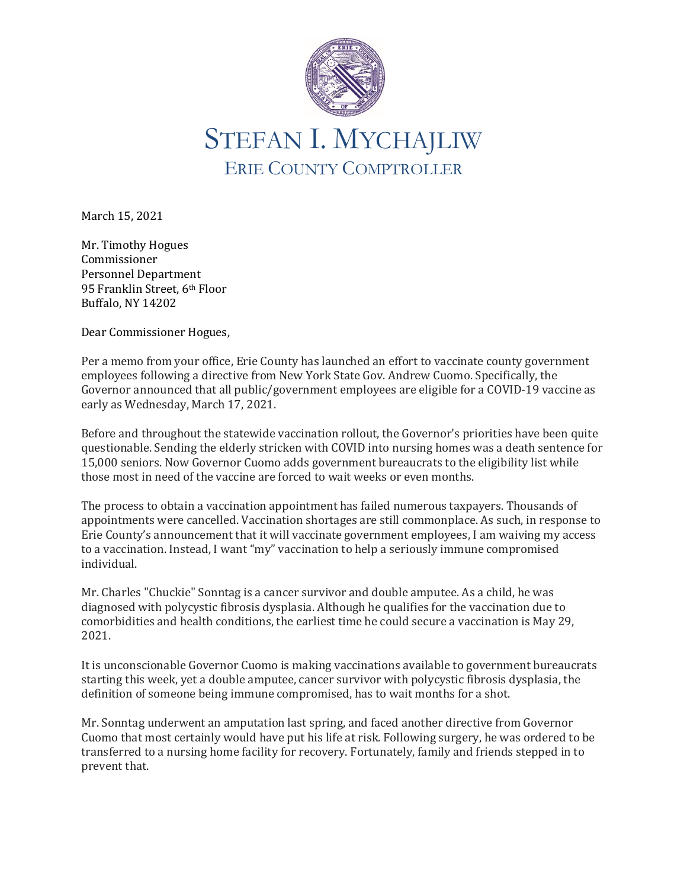

March 15, 2021

Mr. Timothy Hogues Commissioner Personnel Department 95 Franklin Street, 6<sup>th</sup> Floor Buffalo, NY 14202

Dear Commissioner Hogues,

Per a memo from your office, Erie County has launched an effort to vaccinate county government employees following a directive from New York State Gov. Andrew Cuomo. Specifically, the Governor announced that all public/government employees are eligible for a COVID-19 vaccine as early as Wednesday, March 17, 2021.

Before and throughout the statewide vaccination rollout, the Governor's priorities have been quite questionable. Sending the elderly stricken with COVID into nursing homes was a death sentence for 15,000 seniors. Now Governor Cuomo adds government bureaucrats to the eligibility list while those most in need of the vaccine are forced to wait weeks or even months.

The process to obtain a vaccination appointment has failed numerous taxpayers. Thousands of appointments were cancelled. Vaccination shortages are still commonplace. As such, in response to Erie County's announcement that it will vaccinate government employees, I am waiving my access to a vaccination. Instead, I want "my" vaccination to help a seriously immune compromised individual.

Mr. Charles "Chuckie" Sonntag is a cancer survivor and double amputee. As a child, he was diagnosed with polycystic fibrosis dysplasia. Although he qualifies for the vaccination due to comorbidities and health conditions, the earliest time he could secure a vaccination is May 29, 2021.

It is unconscionable Governor Cuomo is making vaccinations available to government bureaucrats starting this week, yet a double amputee, cancer survivor with polycystic fibrosis dysplasia, the definition of someone being immune compromised, has to wait months for a shot.

Mr. Sonntag underwent an amputation last spring, and faced another directive from Governor Cuomo that most certainly would have put his life at risk. Following surgery, he was ordered to be transferred to a nursing home facility for recovery. Fortunately, family and friends stepped in to prevent that.